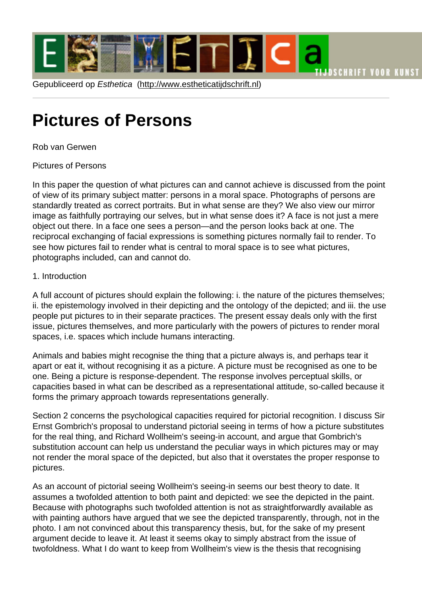# Pictures of Pe[rsons](http://www.estheticatijdschrift.nl)

Rob van Gerwen

Pictures of Persons

In this paper the question of what pictures can and cannot achieve is discussed from the point of view of its primary subject matter: persons in a moral space. Photographs of persons are standardly treated as correct portraits. But in what sense are they? We also view our mirror image as faithfully portraying our selves, but in what sense does it? A face is not just a mere object out there. In a face one sees a person—and the person looks back at one. The reciprocal exchanging of facial expressions is something pictures normally fail to render. To see how pictures fail to render what is central to moral space is to see what pictures, photographs included, can and cannot do.

## 1. Introduction

A full account of pictures should explain the following: i. the nature of the pictures themselves; ii. the epistemology involved in their depicting and the ontology of the depicted; and iii. the use people put pictures to in their separate practices. The present essay deals only with the first issue, pictures themselves, and more particularly with the powers of pictures to render moral spaces, i.e. spaces which include humans interacting.

Animals and babies might recognise the thing that a picture always is, and perhaps tear it apart or eat it, without recognising it as a picture. A picture must be recognised as one to be one. Being a picture is response-dependent. The response involves perceptual skills, or capacities based in what can be described as a representational attitude, so-called because it forms the primary approach towards representations generally.

Section 2 concerns the psychological capacities required for pictorial recognition. I discuss Sir Ernst Gombrich's proposal to understand pictorial seeing in terms of how a picture substitutes for the real thing, and Richard Wollheim's seeing-in account, and argue that Gombrich's substitution account can help us understand the peculiar ways in which pictures may or may not render the moral space of the depicted, but also that it overstates the proper response to pictures.

As an account of pictorial seeing Wollheim's seeing-in seems our best theory to date. It assumes a twofolded attention to both paint and depicted: we see the depicted in the paint. Because with photographs such twofolded attention is not as straightforwardly available as with painting authors have argued that we see the depicted transparently, through, not in the photo. I am not convinced about this transparency thesis, but, for the sake of my present argument decide to leave it. At least it seems okay to simply abstract from the issue of twofoldness. What I do want to keep from Wollheim's view is the thesis that recognising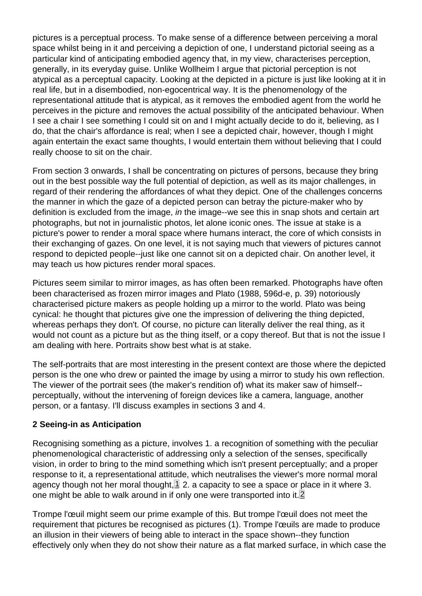<span id="page-1-0"></span>pictures is a perceptual process. To make sense of a difference between perceiving a moral space whilst being in it and perceiving a depiction of one, I understand pictorial seeing as a particular kind of anticipating embodied agency that, in my view, characterises perception, generally, in its everyday guise. Unlike Wollheim I argue that pictorial perception is not atypical as a perceptual capacity. Looking at the depicted in a picture is just like looking at it in real life, but in a disembodied, non-egocentrical way. It is the phenomenology of the representational attitude that is atypical, as it removes the embodied agent from the world he perceives in the picture and removes the actual possibility of the anticipated behaviour. When I see a chair I see something I could sit on and I might actually decide to do it, believing, as I do, that the chair's affordance is real; when I see a depicted chair, however, though I might again entertain the exact same thoughts, I would entertain them without believing that I could really choose to sit on the chair.

From section 3 onwards, I shall be concentrating on pictures of persons, because they bring out in the best possible way the full potential of depiction, as well as its major challenges, in regard of their rendering the affordances of what they depict. One of the challenges concerns the manner in which the gaze of a depicted person can betray the picture-maker who by definition is excluded from the image, in the image--we see this in snap shots and certain art photographs, but not in journalistic photos, let alone iconic ones. The issue at stake is a picture's power to render a moral space where humans interact, the core of which consists in their exchanging of gazes. On one level, it is not saying much that viewers of pictures cannot respond to depicted people--just like one cannot sit on a depicted chair. On another level, it may teach us how pictures render moral spaces.

Pictures seem similar to mirror images, as has often been remarked. Photographs have often been characterised as frozen mirror images and Plato (1988, 596d-e, p. 39) notoriously characterised picture makers as people holding up a mirror to the world. Plato was being cynical: he thought that pictures give one the impression of delivering the thing depicted, whereas perhaps they don't. Of course, no picture can literally deliver the real thing, as it would not count as a picture but as the thing itself, or a copy thereof. But that is not the issue I am dealing with here. Portraits show best what is at stake.

The self-portraits that are most interesting in the present context are those where the depicted person is the one who drew or painted the image by using a mirror to study his own reflection. The viewer of the portrait sees (the maker's rendition of) what its maker saw of himself- perceptually, without the intervening of foreign devices like a camera, language, another person, or a fantasy. I'll discuss examples in sections 3 and 4.

## 2 Seeing-in as Anticipation

Recognising something as a picture, involves 1. a recognition of something with the peculiar phenomenological characteristic of addressing only a selection of the senses, specifically vision, in order to bring to the mind something which isn't present perceptually; and a proper response to it, a representational attitude, which neutralises the viewer's more normal moral agency though not her moral thought,  $\mathbb{1}$  2. a capacity to see a space or place in it where 3. one might be able to walk around in if only one were transported into it. 2

Trompe l'œuil might seem our prime example of this. But trompe l'œuil does not meet the requirement that pictures be recognised as pictures (1). Trompe l'œuils are made to produce an illusion in their viewers of being able to interact in the space shown--they function effectively only when they do not show their nature as a flat marked surface, in which case the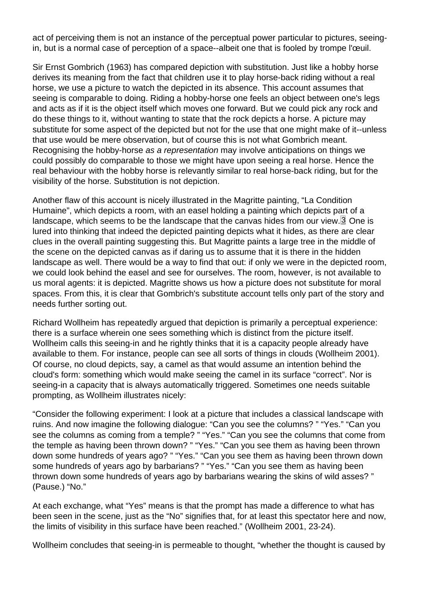<span id="page-2-0"></span>act of perceiving them is not an instance of the perceptual power particular to pictures, seeingin, but is a normal case of perception of a space--albeit one that is fooled by trompe l'œuil.

Sir Ernst Gombrich (1963) has compared depiction with substitution. Just like a hobby horse derives its meaning from the fact that children use it to play horse-back riding without a real horse, we use a picture to watch the depicted in its absence. This account assumes that seeing is comparable to doing. Riding a hobby-horse one feels an object between one's legs and acts as if it is the object itself which moves one forward. But we could pick any rock and do these things to it, without wanting to state that the rock depicts a horse. A picture may substitute for some aspect of the depicted but not for the use that one might make of it--unless that use would be mere observation, but of course this is not what Gombrich meant. Recognising the hobby-horse as a representation may involve anticipations on things we could possibly do comparable to those we might have upon seeing a real horse. Hence the real behaviour with the hobby horse is relevantly similar to real horse-back riding, but for the visibility of the horse. Substitution is not depiction.

Another flaw of this account is nicely illustrated in the Magritte painting, "La Condition Humaine", which depicts a room, with an easel holding a painting which depicts part of a landscape, which seems to be the landscape that the canvas hides from our view. $\beta$  One is lured into thinking that indeed the depicted painting depicts what it hides, as there are clear clues in the overall painting suggesting this. But Magritte paints a large tree in the middle of the scene on the depicted canvas as if daring us to assume that it is there in the hidden landscape as well. There would be a way to find that out: if only we were in the depicted room, we could look behind the easel and see for ourselves. The room, however, is not available to us moral agents: it is depicted. Magritte shows us how a picture does not substitute for moral spaces. From this, it is clear that Gombrich's substitute account tells only part of the story and needs further sorting out.

Richard Wollheim has repeatedly argued that depiction is primarily a perceptual experience: there is a surface wherein one sees something which is distinct from the picture itself. Wollheim calls this seeing-in and he rightly thinks that it is a capacity people already have available to them. For instance, people can see all sorts of things in clouds (Wollheim 2001). Of course, no cloud depicts, say, a camel as that would assume an intention behind the cloud's form: something which would make seeing the camel in its surface "correct". Nor is seeing-in a capacity that is always automatically triggered. Sometimes one needs suitable prompting, as Wollheim illustrates nicely:

"Consider the following experiment: I look at a picture that includes a classical landscape with ruins. And now imagine the following dialogue: "Can you see the columns? " "Yes." "Can you see the columns as coming from a temple? " "Yes." "Can you see the columns that come from the temple as having been thrown down? " "Yes." "Can you see them as having been thrown down some hundreds of years ago? " "Yes." "Can you see them as having been thrown down some hundreds of years ago by barbarians? " "Yes." "Can you see them as having been thrown down some hundreds of years ago by barbarians wearing the skins of wild asses? " (Pause.) "No."

At each exchange, what "Yes" means is that the prompt has made a difference to what has been seen in the scene, just as the "No" signifies that, for at least this spectator here and now, the limits of visibility in this surface have been reached." (Wollheim 2001, 23-24).

Wollheim concludes that seeing-in is permeable to thought, "whether the thought is caused by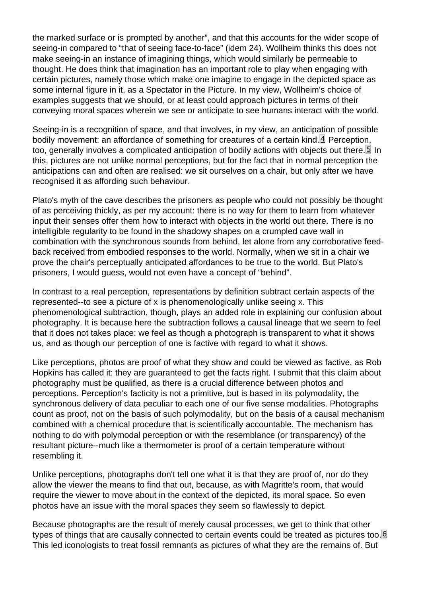<span id="page-3-0"></span>the marked surface or is prompted by another", and that this accounts for the wider scope of seeing-in compared to "that of seeing face-to-face" (idem 24). Wollheim thinks this does not make seeing-in an instance of imagining things, which would similarly be permeable to thought. He does think that imagination has an important role to play when engaging with certain pictures, namely those which make one imagine to engage in the depicted space as some internal figure in it, as a Spectator in the Picture. In my view, Wollheim's choice of examples suggests that we should, or at least could approach pictures in terms of their conveying moral spaces wherein we see or anticipate to see humans interact with the world.

Seeing-in is a recognition of space, and that involves, in my view, an anticipation of possible bodily movement: an affordance of something for creatures of a certain kind.  $4$  Perception, too, generally involves a complicated anticipation of bodily actions with objects out there.<sup>[5]</sup> In this, pictures are not unlike normal perceptions, but for the fact that in normal perception the anticipations can and often are realised: we sit ourselves on a chair, but only after we have recognised it as affording such behaviour.

Plato's myth of the cave describes the prisoners as people who could not possibly be thought of as perceiving thickly, as per my account: there is no way for them to learn from whatever input their senses offer them how to interact with objects in the world out there. There is no intelligible regularity to be found in the shadowy shapes on a crumpled cave wall in combination with the synchronous sounds from behind, let alone from any corroborative feedback received from embodied responses to the world. Normally, when we sit in a chair we prove the chair's perceptually anticipated affordances to be true to the world. But Plato's prisoners, I would guess, would not even have a concept of "behind".

In contrast to a real perception, representations by definition subtract certain aspects of the represented--to see a picture of x is phenomenologically unlike seeing x. This phenomenological subtraction, though, plays an added role in explaining our confusion about photography. It is because here the subtraction follows a causal lineage that we seem to feel that it does not takes place: we feel as though a photograph is transparent to what it shows us, and as though our perception of one is factive with regard to what it shows.

Like perceptions, photos are proof of what they show and could be viewed as factive, as Rob Hopkins has called it: they are guaranteed to get the facts right. I submit that this claim about photography must be qualified, as there is a crucial difference between photos and perceptions. Perception's facticity is not a primitive, but is based in its polymodality, the synchronous delivery of data peculiar to each one of our five sense modalities. Photographs count as proof, not on the basis of such polymodality, but on the basis of a causal mechanism combined with a chemical procedure that is scientifically accountable. The mechanism has nothing to do with polymodal perception or with the resemblance (or transparency) of the resultant picture--much like a thermometer is proof of a certain temperature without resembling it.

Unlike perceptions, photographs don't tell one what it is that they are proof of, nor do they allow the viewer the means to find that out, because, as with Magritte's room, that would require the viewer to move about in the context of the depicted, its moral space. So even photos have an issue with the moral spaces they seem so flawlessly to depict.

Because photographs are the result of merely causal processes, we get to think that other types of things that are causally connected to certain events could be treated as pictures too.<sup>6</sup> This led iconologists to treat fossil remnants as pictures of what they are the remains of. But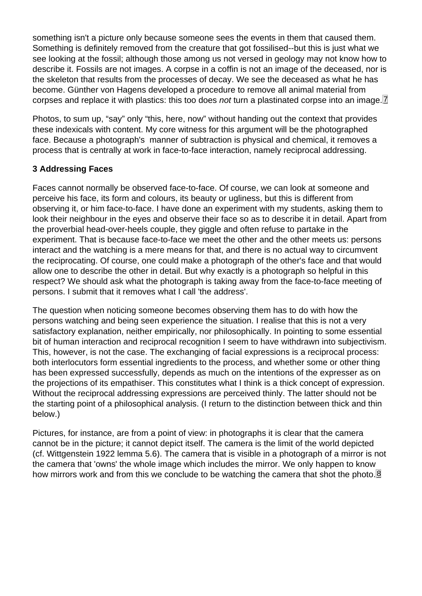<span id="page-4-0"></span>something isn't a picture only because someone sees the events in them that caused them. Something is definitely removed from the creature that got fossilised--but this is just what we see looking at the fossil; although those among us not versed in geology may not know how to describe it. Fossils are not images. A corpse in a coffin is not an image of the deceased, nor is the skeleton that results from the processes of decay. We see the deceased as what he has become. Günther von Hagens developed a procedure to remove all animal material from corpses and replace it with plastics: this too does not turn a plastinated corpse into an image.<sup>[7]</sup>

Photos, to sum up, "say" only "this, here, now" without handing out the context that provides these indexicals with content. My core witness for this argument will be the photographed face. Because a photograph's manner of subtraction is physical and chemical, it removes a process that is centrally at work in face-to-face interaction, namely reciprocal addressing.

# 3 Addressing Faces

Faces cannot normally be observed face-to-face. Of course, we can look at someone and perceive his face, its form and colours, its beauty or ugliness, but this is different from observing it, or him face-to-face. I have done an experiment with my students, asking them to look their neighbour in the eyes and observe their face so as to describe it in detail. Apart from the proverbial head-over-heels couple, they giggle and often refuse to partake in the experiment. That is because face-to-face we meet the other and the other meets us: persons interact and the watching is a mere means for that, and there is no actual way to circumvent the reciprocating. Of course, one could make a photograph of the other's face and that would allow one to describe the other in detail. But why exactly is a photograph so helpful in this respect? We should ask what the photograph is taking away from the face-to-face meeting of persons. I submit that it removes what I call 'the address'.

The question when noticing someone becomes observing them has to do with how the persons watching and being seen experience the situation. I realise that this is not a very satisfactory explanation, neither empirically, nor philosophically. In pointing to some essential bit of human interaction and reciprocal recognition I seem to have withdrawn into subjectivism. This, however, is not the case. The exchanging of facial expressions is a reciprocal process: both interlocutors form essential ingredients to the process, and whether some or other thing has been expressed successfully, depends as much on the intentions of the expresser as on the projections of its empathiser. This constitutes what I think is a thick concept of expression. Without the reciprocal addressing expressions are perceived thinly. The latter should not be the starting point of a philosophical analysis. (I return to the distinction between thick and thin below.)

Pictures, for instance, are from a point of view: in photographs it is clear that the camera cannot be in the picture; it cannot depict itself. The camera is the limit of the world depicted (cf. Wittgenstein 1922 lemma 5.6). The camera that is visible in a photograph of a mirror is not the camera that 'owns' the whole image which includes the mirror. We only happen to know how mirrors work and from this we conclude to be watching the camera that shot the photo.<sup>8</sup>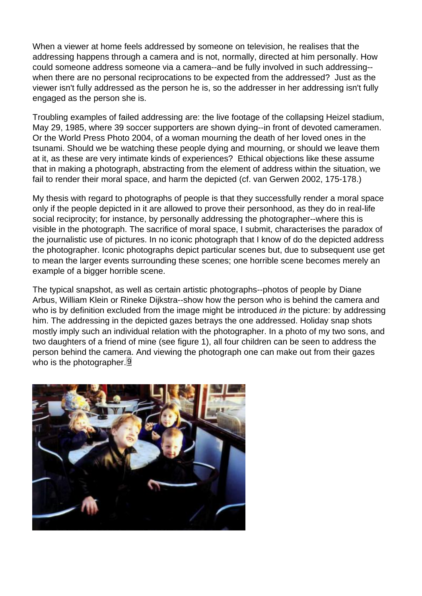<span id="page-5-0"></span>When a viewer at home feels addressed by someone on television, he realises that the addressing happens through a camera and is not, normally, directed at him personally. How could someone address someone via a camera--and be fully involved in such addressing- when there are no personal reciprocations to be expected from the addressed? Just as the viewer isn't fully addressed as the person he is, so the addresser in her addressing isn't fully engaged as the person she is.

Troubling examples of failed addressing are: the live footage of the collapsing Heizel stadium, May 29, 1985, where 39 soccer supporters are shown dying--in front of devoted cameramen. Or the World Press Photo 2004, of a woman mourning the death of her loved ones in the tsunami. Should we be watching these people dying and mourning, or should we leave them at it, as these are very intimate kinds of experiences? Ethical objections like these assume that in making a photograph, abstracting from the element of address within the situation, we fail to render their moral space, and harm the depicted (cf. van Gerwen 2002, 175-178.)

My thesis with regard to photographs of people is that they successfully render a moral space only if the people depicted in it are allowed to prove their personhood, as they do in real-life social reciprocity; for instance, by personally addressing the photographer--where this is visible in the photograph. The sacrifice of moral space, I submit, characterises the paradox of the journalistic use of pictures. In no iconic photograph that I know of do the depicted address the photographer. Iconic photographs depict particular scenes but, due to subsequent use get to mean the larger events surrounding these scenes; one horrible scene becomes merely an example of a bigger horrible scene.

The typical snapshot, as well as certain artistic photographs--photos of people by Diane Arbus, William Klein or Rineke Dijkstra--show how the person who is behind the camera and who is by definition excluded from the image might be introduced in the picture: by addressing him. The addressing in the depicted gazes betrays the one addressed. Holiday snap shots mostly imply such an individual relation with the photographer. In a photo of my two sons, and two daughters of a friend of mine (see figure 1), all four children can be seen to address the person behind the camera. And viewing the photograph one can make out from their gazes who is the photographer. $9$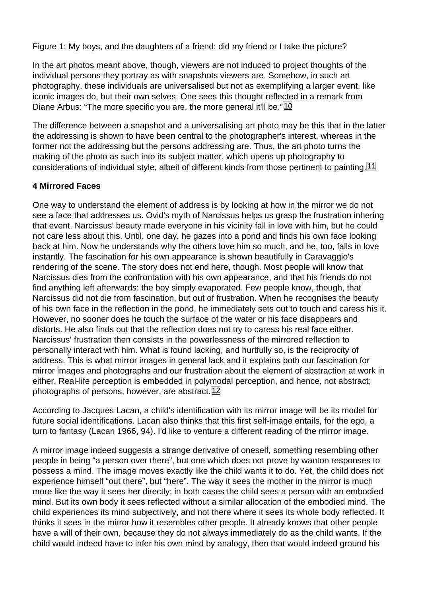<span id="page-6-0"></span>Figure 1: My boys, and the daughters of a friend: did my friend or I take the picture?

In the art photos meant above, though, viewers are not induced to project thoughts of the individual persons they portray as with snapshots viewers are. Somehow, in such art photography, these individuals are universalised but not as exemplifying a larger event, like iconic images do, but their own selves. One sees this thought reflected in a remark from Diane Arbus: "The more specific you are, the more general it'll be."<sup>10</sup>

The difference between a snapshot and a universalising art photo may be this that in the latter the addressing is shown to have been central to the photographer's interest, whereas in the former not the addressing but the persons addressing are. Thus, the art photo turns the making of the photo as such into its subject matter, which opens up photography to considerations of individual style, albeit of different kinds from those pertinent to painting. 11

## 4 Mirrored Faces

One way to understand the element of address is by looking at how in the mirror we do not see a face that addresses us. Ovid's myth of Narcissus helps us grasp the frustration inhering that event. Narcissus' beauty made everyone in his vicinity fall in love with him, but he could not care less about this. Until, one day, he gazes into a pond and finds his own face looking back at him. Now he understands why the others love him so much, and he, too, falls in love instantly. The fascination for his own appearance is shown beautifully in Caravaggio's rendering of the scene. The story does not end here, though. Most people will know that Narcissus dies from the confrontation with his own appearance, and that his friends do not find anything left afterwards: the boy simply evaporated. Few people know, though, that Narcissus did not die from fascination, but out of frustration. When he recognises the beauty of his own face in the reflection in the pond, he immediately sets out to touch and caress his it. However, no sooner does he touch the surface of the water or his face disappears and distorts. He also finds out that the reflection does not try to caress his real face either. Narcissus' frustration then consists in the powerlessness of the mirrored reflection to personally interact with him. What is found lacking, and hurtfully so, is the reciprocity of address. This is what mirror images in general lack and it explains both our fascination for mirror images and photographs and our frustration about the element of abstraction at work in either. Real-life perception is embedded in polymodal perception, and hence, not abstract; photographs of persons, however, are abstract. 12

According to Jacques Lacan, a child's identification with its mirror image will be its model for future social identifications. Lacan also thinks that this first self-image entails, for the ego, a turn to fantasy (Lacan 1966, 94). I'd like to venture a different reading of the mirror image.

A mirror image indeed suggests a strange derivative of oneself, something resembling other people in being "a person over there", but one which does not prove by wanton responses to possess a mind. The image moves exactly like the child wants it to do. Yet, the child does not experience himself "out there", but "here". The way it sees the mother in the mirror is much more like the way it sees her directly; in both cases the child sees a person with an embodied mind. But its own body it sees reflected without a similar allocation of the embodied mind. The child experiences its mind subjectively, and not there where it sees its whole body reflected. It thinks it sees in the mirror how it resembles other people. It already knows that other people have a will of their own, because they do not always immediately do as the child wants. If the child would indeed have to infer his own mind by analogy, then that would indeed ground his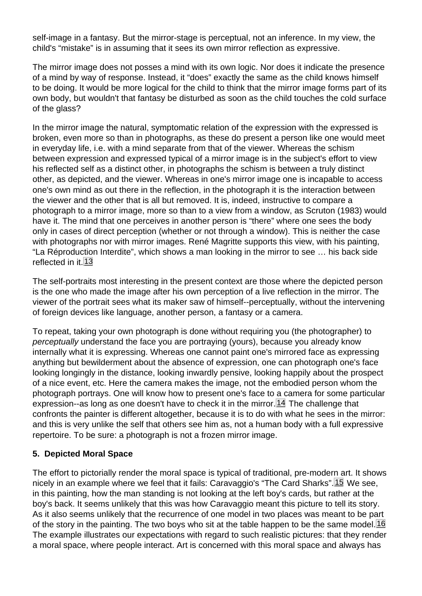<span id="page-7-0"></span>self-image in a fantasy. But the mirror-stage is perceptual, not an inference. In my view, the child's "mistake" is in assuming that it sees its own mirror reflection as expressive.

The mirror image does not posses a mind with its own logic. Nor does it indicate the presence of a mind by way of response. Instead, it "does" exactly the same as the child knows himself to be doing. It would be more logical for the child to think that the mirror image forms part of its own body, but wouldn't that fantasy be disturbed as soon as the child touches the cold surface of the glass?

In the mirror image the natural, symptomatic relation of the expression with the expressed is broken, even more so than in photographs, as these do present a person like one would meet in everyday life, i.e. with a mind separate from that of the viewer. Whereas the schism between expression and expressed typical of a mirror image is in the subject's effort to view his reflected self as a distinct other, in photographs the schism is between a truly distinct other, as depicted, and the viewer. Whereas in one's mirror image one is incapable to access one's own mind as out there in the reflection, in the photograph it is the interaction between the viewer and the other that is all but removed. It is, indeed, instructive to compare a photograph to a mirror image, more so than to a view from a window, as Scruton (1983) would have it. The mind that one perceives in another person is "there" where one sees the body only in cases of direct perception (whether or not through a window). This is neither the case with photographs nor with mirror images. René Magritte supports this view, with his painting, "La Réproduction Interdite", which shows a man looking in the mirror to see … his back side reflected in it.<sup>13</sup>

The self-portraits most interesting in the present context are those where the depicted person is the one who made the image after his own perception of a live reflection in the mirror. The viewer of the portrait sees what its maker saw of himself--perceptually, without the intervening of foreign devices like language, another person, a fantasy or a camera.

To repeat, taking your own photograph is done without requiring you (the photographer) to perceptually understand the face you are portraying (yours), because you already know internally what it is expressing. Whereas one cannot paint one's mirrored face as expressing anything but bewilderment about the absence of expression, one can photograph one's face looking longingly in the distance, looking inwardly pensive, looking happily about the prospect of a nice event, etc. Here the camera makes the image, not the embodied person whom the photograph portrays. One will know how to present one's face to a camera for some particular expression--as long as one doesn't have to check it in the mirror.<sup>[14]</sup> The challenge that confronts the painter is different altogether, because it is to do with what he sees in the mirror: and this is very unlike the self that others see him as, not a human body with a full expressive repertoire. To be sure: a photograph is not a frozen mirror image.

## 5. Depicted Moral Space

The effort to pictorially render the moral space is typical of traditional, pre-modern art. It shows nicely in an example where we feel that it fails: Caravaggio's "The Card Sharks".<sup>[15]</sup> We see, in this painting, how the man standing is not looking at the left boy's cards, but rather at the boy's back. It seems unlikely that this was how Caravaggio meant this picture to tell its story. As it also seems unlikely that the recurrence of one model in two places was meant to be part of the story in the painting. The two boys who sit at the table happen to be the same model.<sup>[16]</sup> The example illustrates our expectations with regard to such realistic pictures: that they render a moral space, where people interact. Art is concerned with this moral space and always has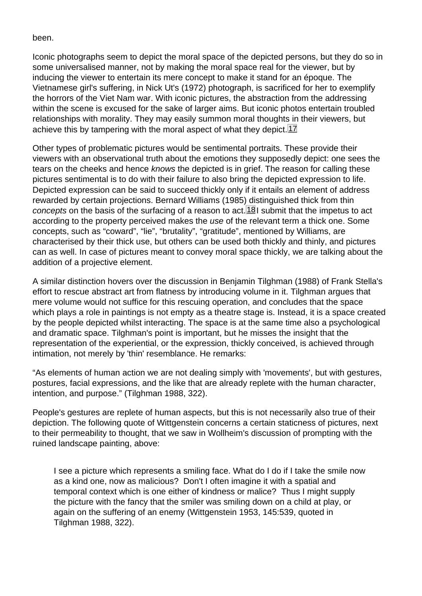<span id="page-8-0"></span>been.

Iconic photographs seem to depict the moral space of the depicted persons, but they do so in some universalised manner, not by making the moral space real for the viewer, but by inducing the viewer to entertain its mere concept to make it stand for an époque. The Vietnamese girl's suffering, in Nick Ut's (1972) photograph, is sacrificed for her to exemplify the horrors of the Viet Nam war. With iconic pictures, the abstraction from the addressing within the scene is excused for the sake of larger aims. But iconic photos entertain troubled relationships with morality. They may easily summon moral thoughts in their viewers, but achieve this by tampering with the moral aspect of what they depict. 17

Other types of problematic pictures would be sentimental portraits. These provide their viewers with an observational truth about the emotions they supposedly depict: one sees the tears on the cheeks and hence knows the depicted is in grief. The reason for calling these pictures sentimental is to do with their failure to also bring the depicted expression to life. Depicted expression can be said to succeed thickly only if it entails an element of address rewarded by certain projections. Bernard Williams (1985) distinguished thick from thin concepts on the basis of the surfacing of a reason to act.  $18$  I submit that the impetus to act according to the property perceived makes the use of the relevant term a thick one. Some concepts, such as "coward", "lie", "brutality", "gratitude", mentioned by Williams, are characterised by their thick use, but others can be used both thickly and thinly, and pictures can as well. In case of pictures meant to convey moral space thickly, we are talking about the addition of a projective element.

A similar distinction hovers over the discussion in Benjamin Tilghman (1988) of Frank Stella's effort to rescue abstract art from flatness by introducing volume in it. Tilghman argues that mere volume would not suffice for this rescuing operation, and concludes that the space which plays a role in paintings is not empty as a theatre stage is. Instead, it is a space created by the people depicted whilst interacting. The space is at the same time also a psychological and dramatic space. Tilghman's point is important, but he misses the insight that the representation of the experiential, or the expression, thickly conceived, is achieved through intimation, not merely by 'thin' resemblance. He remarks:

"As elements of human action we are not dealing simply with 'movements', but with gestures, postures, facial expressions, and the like that are already replete with the human character, intention, and purpose." (Tilghman 1988, 322).

People's gestures are replete of human aspects, but this is not necessarily also true of their depiction. The following quote of Wittgenstein concerns a certain staticness of pictures, next to their permeability to thought, that we saw in Wollheim's discussion of prompting with the ruined landscape painting, above:

I see a picture which represents a smiling face. What do I do if I take the smile now as a kind one, now as malicious? Don't I often imagine it with a spatial and temporal context which is one either of kindness or malice? Thus I might supply the picture with the fancy that the smiler was smiling down on a child at play, or again on the suffering of an enemy (Wittgenstein 1953, 145:539, quoted in Tilghman 1988, 322).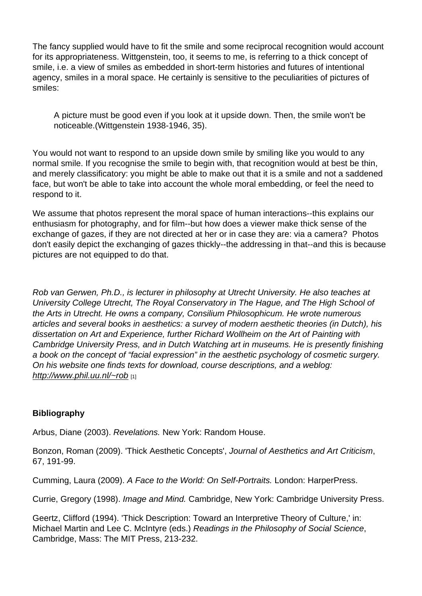The fancy supplied would have to fit the smile and some reciprocal recognition would account for its appropriateness. Wittgenstein, too, it seems to me, is referring to a thick concept of smile, i.e. a view of smiles as embedded in short-term histories and futures of intentional agency, smiles in a moral space. He certainly is sensitive to the peculiarities of pictures of smiles:

A picture must be good even if you look at it upside down. Then, the smile won't be noticeable.(Wittgenstein 1938-1946, 35).

You would not want to respond to an upside down smile by smiling like you would to any normal smile. If you recognise the smile to begin with, that recognition would at best be thin, and merely classificatory: you might be able to make out that it is a smile and not a saddened face, but won't be able to take into account the whole moral embedding, or feel the need to respond to it.

We assume that photos represent the moral space of human interactions--this explains our enthusiasm for photography, and for film--but how does a viewer make thick sense of the exchange of gazes, if they are not directed at her or in case they are: via a camera? Photos don't easily depict the exchanging of gazes thickly--the addressing in that--and this is because pictures are not equipped to do that.

Rob van Gerwen, Ph.D., is lecturer in philosophy at Utrecht University. He also teaches at University College Utrecht, The Royal Conservatory in The Hague, and The High School of the Arts in Utrecht. He owns a company, Consilium Philosophicum. He wrote numerous articles and several books in aesthetics: a survey of modern aesthetic theories (in Dutch), his dissertation on Art and Experience, further Richard Wollheim on the Art of Painting with Cambridge University Press, and in Dutch Watching art in museums. He is presently finishing a book on the concept of "facial expression" in the aesthetic psychology of cosmetic surgery. On his website one finds texts for download, course descriptions, and a weblog: http://www.phil.uu.nl/~rob [1]

**[Bibliography](http://www.phil.uu.nl/~rob)** 

Arbus, Diane (2003). Revelations. New York: Random House.

Bonzon, Roman (2009). 'Thick Aesthetic Concepts', Journal of Aesthetics and Art Criticism, 67, 191-99.

Cumming, Laura (2009). A Face to the World: On Self-Portraits. London: HarperPress.

Currie, Gregory (1998). Image and Mind. Cambridge, New York: Cambridge University Press.

Geertz, Clifford (1994). 'Thick Description: Toward an Interpretive Theory of Culture,' in: Michael Martin and Lee C. McIntyre (eds.) Readings in the Philosophy of Social Science, Cambridge, Mass: The MIT Press, 213-232.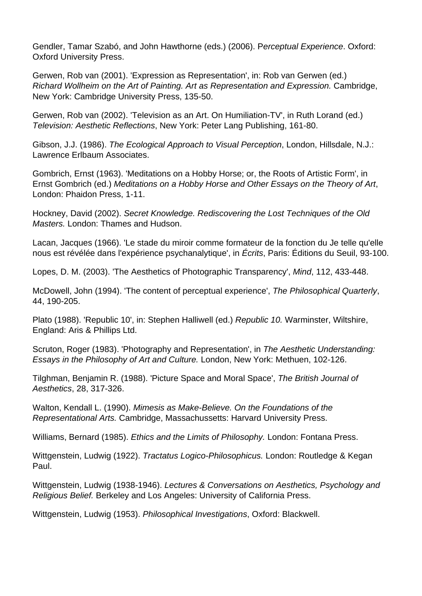Gendler, Tamar Szabó, and John Hawthorne (eds.) (2006). Perceptual Experience. Oxford: Oxford University Press.

Gerwen, Rob van (2001). 'Expression as Representation', in: Rob van Gerwen (ed.) Richard Wollheim on the Art of Painting. Art as Representation and Expression. Cambridge, New York: Cambridge University Press, 135-50.

Gerwen, Rob van (2002). 'Television as an Art. On Humiliation-TV', in Ruth Lorand (ed.) Television: Aesthetic Reflections, New York: Peter Lang Publishing, 161-80.

Gibson, J.J. (1986). The Ecological Approach to Visual Perception, London, Hillsdale, N.J.: Lawrence Erlbaum Associates.

Gombrich, Ernst (1963). 'Meditations on a Hobby Horse; or, the Roots of Artistic Form', in Ernst Gombrich (ed.) Meditations on a Hobby Horse and Other Essays on the Theory of Art, London: Phaidon Press, 1-11.

Hockney, David (2002). Secret Knowledge. Rediscovering the Lost Techniques of the Old Masters. London: Thames and Hudson.

Lacan, Jacques (1966). 'Le stade du miroir comme formateur de la fonction du Je telle qu'elle nous est révélée dans l'expérience psychanalytique', in Écrits, Paris: Éditions du Seuil, 93-100.

Lopes, D. M. (2003). 'The Aesthetics of Photographic Transparency', Mind, 112, 433-448.

McDowell, John (1994). 'The content of perceptual experience', The Philosophical Quarterly, 44, 190-205.

Plato (1988). 'Republic 10', in: Stephen Halliwell (ed.) Republic 10. Warminster, Wiltshire, England: Aris & Phillips Ltd.

Scruton, Roger (1983). 'Photography and Representation', in The Aesthetic Understanding: Essays in the Philosophy of Art and Culture. London, New York: Methuen, 102-126.

Tilghman, Benjamin R. (1988). 'Picture Space and Moral Space', The British Journal of Aesthetics, 28, 317-326.

Walton, Kendall L. (1990). Mimesis as Make-Believe. On the Foundations of the Representational Arts. Cambridge, Massachussetts: Harvard University Press.

Williams, Bernard (1985). Ethics and the Limits of Philosophy. London: Fontana Press.

Wittgenstein, Ludwig (1922). Tractatus Logico-Philosophicus. London: Routledge & Kegan Paul.

Wittgenstein, Ludwig (1938-1946). Lectures & Conversations on Aesthetics, Psychology and Religious Belief. Berkeley and Los Angeles: University of California Press.

Wittgenstein, Ludwig (1953). Philosophical Investigations, Oxford: Blackwell.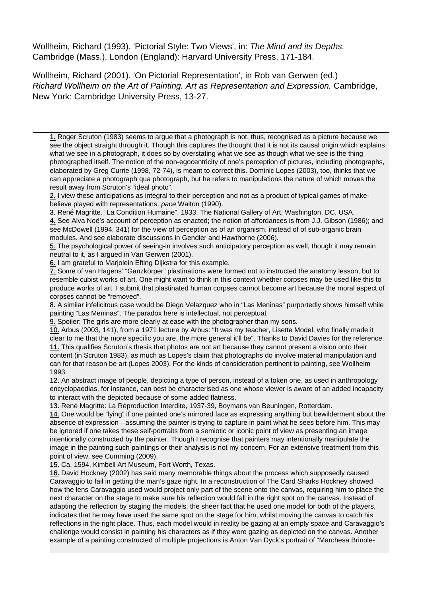Wollheim, Richard (1993). 'Pictorial Style: Two Views', in: The Mind and its Depths. Cambridge (Mass.), London (England): Harvard University Press, 171-184.

Wollheim, Richard (2001). 'On Pictorial Representation', in Rob van Gerwen (ed.) Richard Wollheim on the Art of Painting. Art as Representation and Expression. Cambridge, New York: Cambridge University Press, 13-27.

1. Roger Scruton (1983) seems to argue that a photograph is not, thus, recognised as a picture because we see the object straight through it. Though this captures the thought that it is not its causal origin which explains what we see in a photograph, it does so by overstating what we see as though what we see is the thing photographed itself. The notion of the non-egocentricity of one's perception of pictures, including photographs, [ela](#page-1-0)borated by Greg Currie (1998, 72-74), is meant to correct this. Dominic Lopes (2003), too, thinks that we can appreciate a photograph qua photograph, but he refers to manipulations the nature of which moves the result away from Scruton's "ideal photo".

2. I view these anticipations as integral to their perception and not as a product of typical games of make-2. believe played with representations, pace Walton (1990).

3. René Magritte. "La Condition Humaine". 1933. The National Gallery of Art, Washington, DC, USA. 3. 4. See Alva Noë's account of perception as enacted; the notion of affordances is from J.J. Gibson (1986); and [se](#page-1-0)e McDowell (1994, 341) for the view of perception as of an organism, instead of of sub-organic brain modules. And see elaborate discussions in Gendler and Hawthorne (2006).

[5.](#page-2-0) The psychological power of seeing-in involves such anticipatory perception as well, though it may remain [ne](#page-3-0)utral to it, as I argued in Van Gerwen (2001).

6. I am grateful to Marjolein Efting Dijkstra for this example.

7. Some of van Hagens' "Ganzkörper" plastinations were formed not to instructed the anatomy lesson, but to 7. [re](#page-3-0)semble cubist works of art. One might want to think in this context whether corpses may be used like this to produce works of art. I submit that plastinated human corpses cannot become art because the moral aspect of [co](#page-3-0)rpses cannot be "removed".

[8.](#page-4-0) A similar infelicitous case would be Diego Velazquez who in "Las Meninas" purportedly shows himself while painting "Las Meninas". The paradox here is intellectual, not perceptual.

9. Spoiler: The girls are more clearly at ease with the photographer than my sons.

10. Arbus (2003, 141), from a 1971 lecture by Arbus: "It was my teacher, Lisette Model, who finally made it [cle](#page-4-0)ar to me that the more specific you are, the more general it'll be". Thanks to David Davies for the reference. 11. This qualifies Scruton's thesis that photos are not art because they cannot present a vision onto their [co](#page-5-0)ntent (in Scruton 1983), as much as Lopes's claim that photographs do involve material manipulation and [can](#page-6-0) for that reason be art (Lopes 2003). For the kinds of consideration pertinent to painting, see Wollheim 1993.

[12.](#page-6-0) An abstract image of people, depicting a type of person, instead of a token one, as used in anthropology encyclopaedias, for instance, can best be characterised as one whose viewer is aware of an added incapacity to interact with the depicted because of some added flatness.

13. René Magritte: La Réproduction Interdite, 1937-39, Boymans van Beuningen, Rotterdam.

[14.](#page-6-0) One would be "lying" if one painted one's mirrored face as expressing anything but bewilderment about the absence of expression—assuming the painter is trying to capture in paint what he sees before him. This may be ignored if one takes these self-portraits from a semiotic or iconic point of view as presenting an image [inte](#page-7-0)ntionally constructed by the painter. Though I recognise that painters may intentionally manipulate the [ima](#page-7-0)ge in the painting such paintings or their analysis is not my concern. For an extensive treatment from this point of view, see Cumming (2009).

15. Ca. 1594, Kimbell Art Museum, Fort Worth, Texas.

16. David Hockney (2002) has said many memorable things about the process which supposedly caused Caravaggio to fail in getting the man's gaze right. In a reconstruction of The Card Sharks Hockney showed how the lens Caravaggio used would project only part of the scene onto the canvas, requiring him to place the [nex](#page-7-0)t character on the stage to make sure his reflection would fall in the right spot on the canvas. Instead of [ada](#page-7-0)pting the reflection by staging the models, the sheer fact that he used one model for both of the players, indicates that he may have used the same spot on the stage for him, whilst moving the canvas to catch his reflections in the right place. Thus, each model would in reality be gazing at an empty space and Caravaggio's challenge would consist in painting his characters as if they were gazing as depicted on the canvas. Another example of a painting constructed of multiple projections is Anton Van Dyck's portrait of "Marchesa Brinole-